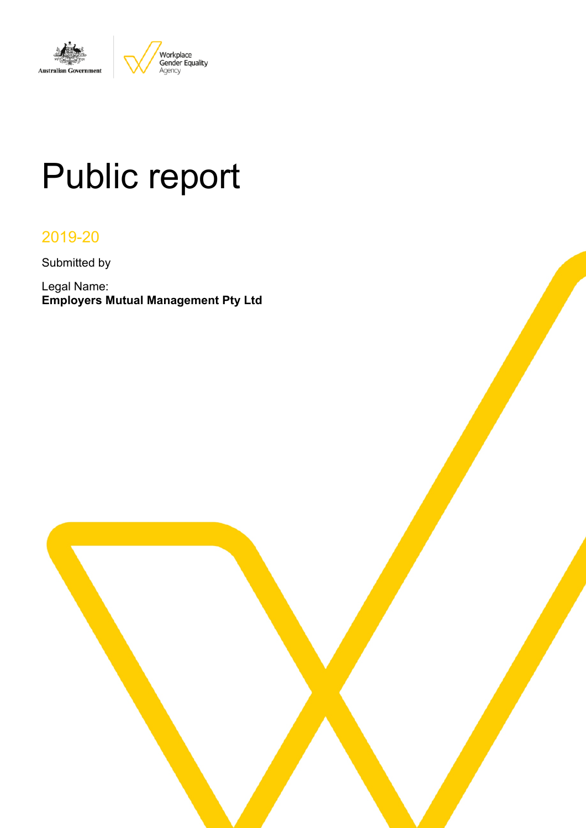

# Public report

# 2019-20

Submitted by

Legal Name: **Employers Mutual Management Pty Ltd**

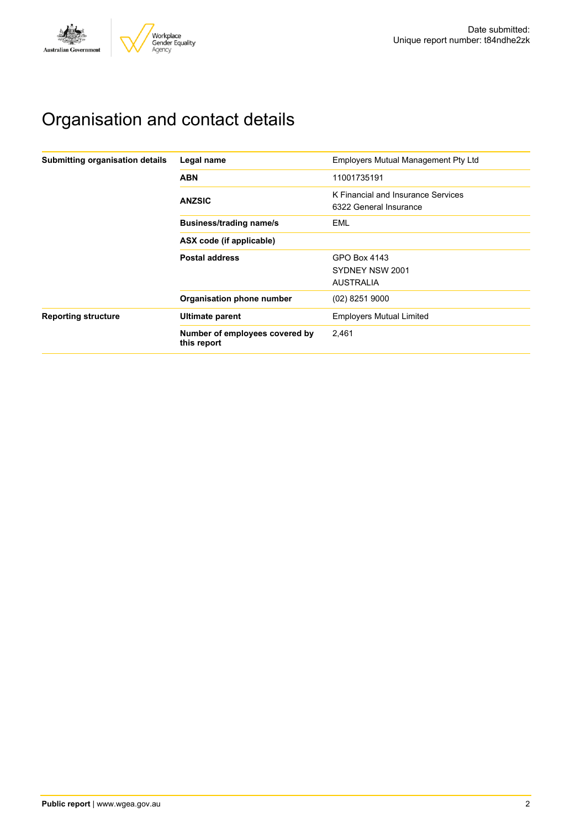# Organisation and contact details

| Submitting organisation details | Legal name                                    | <b>Employers Mutual Management Pty Ltd</b>                   |
|---------------------------------|-----------------------------------------------|--------------------------------------------------------------|
|                                 | <b>ABN</b>                                    | 11001735191                                                  |
|                                 | <b>ANZSIC</b>                                 | K Financial and Insurance Services<br>6322 General Insurance |
|                                 | <b>Business/trading name/s</b>                | EML                                                          |
|                                 | ASX code (if applicable)                      |                                                              |
|                                 | <b>Postal address</b>                         | GPO Box 4143                                                 |
|                                 |                                               | SYDNEY NSW 2001                                              |
|                                 |                                               | <b>AUSTRALIA</b>                                             |
|                                 | Organisation phone number                     | $(02)$ 8251 9000                                             |
| <b>Reporting structure</b>      | Ultimate parent                               | <b>Employers Mutual Limited</b>                              |
|                                 | Number of employees covered by<br>this report | 2,461                                                        |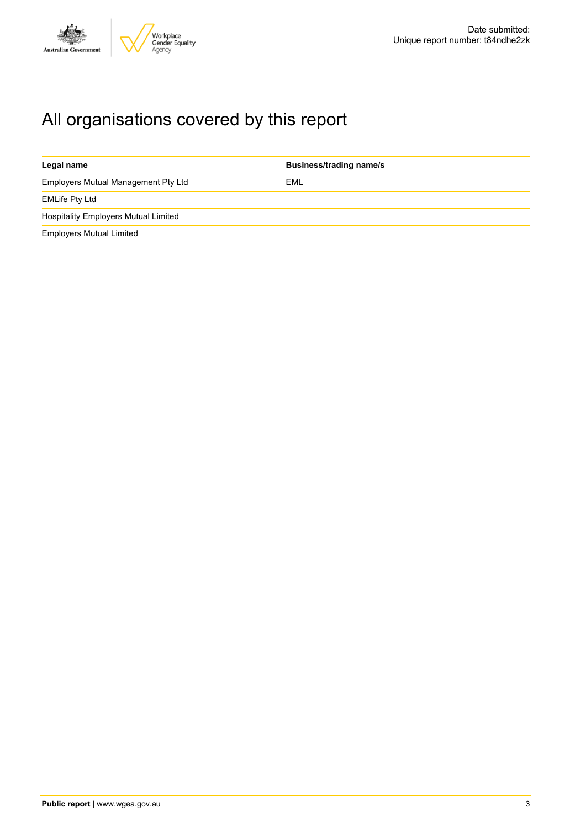

# All organisations covered by this report

| Legal name                                  | <b>Business/trading name/s</b> |
|---------------------------------------------|--------------------------------|
| Employers Mutual Management Pty Ltd         | EML                            |
| <b>EMLife Pty Ltd</b>                       |                                |
| <b>Hospitality Employers Mutual Limited</b> |                                |
| <b>Employers Mutual Limited</b>             |                                |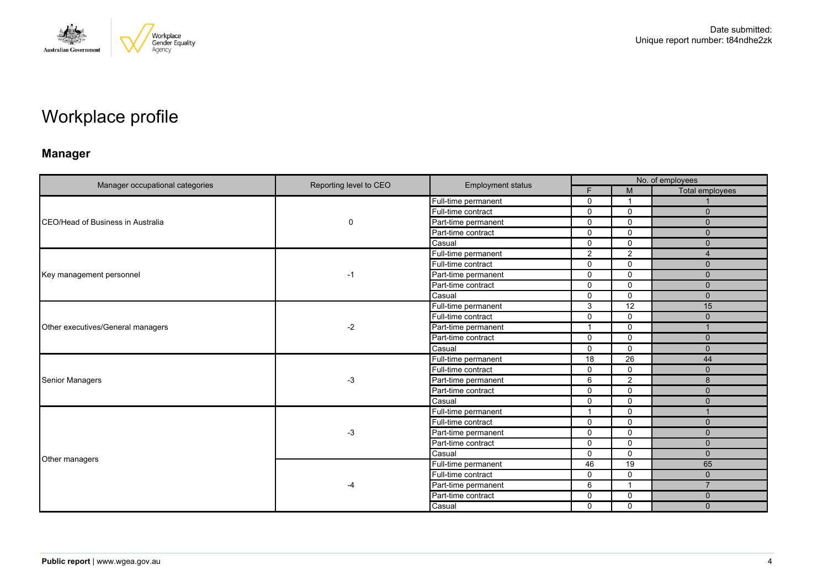

# Workplace profile

# **Manager**

|                                   |                        |                          | No. of employees |                |                 |  |
|-----------------------------------|------------------------|--------------------------|------------------|----------------|-----------------|--|
| Manager occupational categories   | Reporting level to CEO | <b>Employment status</b> | F                | M              | Total employees |  |
|                                   |                        | Full-time permanent      | $\mathbf 0$      | -1             |                 |  |
|                                   |                        | Full-time contract       | $\mathbf 0$      | $\mathbf 0$    | $\Omega$        |  |
| CEO/Head of Business in Australia | 0                      | Part-time permanent      | $\Omega$         | $\mathbf 0$    | $\Omega$        |  |
|                                   |                        | Part-time contract       | $\mathbf{0}$     | $\mathbf 0$    | $\Omega$        |  |
|                                   |                        | Casual                   | $\mathbf 0$      | $\mathbf 0$    | $\Omega$        |  |
|                                   |                        | Full-time permanent      | $\overline{2}$   | $\overline{2}$ |                 |  |
|                                   |                        | Full-time contract       | $\mathbf{0}$     | $\mathbf 0$    | $\Omega$        |  |
| Key management personnel          | -1                     | Part-time permanent      | $\mathbf 0$      | $\mathbf 0$    | $\mathbf 0$     |  |
|                                   |                        | Part-time contract       | $\Omega$         | $\Omega$       | $\Omega$        |  |
|                                   |                        | Casual                   | $\mathbf{0}$     | $\mathbf 0$    | $\Omega$        |  |
| Other executives/General managers | $-2$                   | Full-time permanent      | 3                | 12             | 15              |  |
|                                   |                        | Full-time contract       | $\Omega$         | $\mathbf 0$    | $\Omega$        |  |
|                                   |                        | Part-time permanent      | 1                | $\mathbf 0$    |                 |  |
|                                   |                        | Part-time contract       | $\mathbf 0$      | $\mathbf 0$    | $\mathbf{0}$    |  |
|                                   |                        | Casual                   | $\mathbf{0}$     | $\Omega$       | $\Omega$        |  |
|                                   | -3                     | Full-time permanent      | 18               | 26             | 44              |  |
|                                   |                        | Full-time contract       | 0                | $\mathbf 0$    | $\Omega$        |  |
| <b>Senior Managers</b>            |                        | Part-time permanent      | 6                | 2              | 8               |  |
|                                   |                        | Part-time contract       | 0                | $\mathbf 0$    | $\mathbf 0$     |  |
|                                   |                        | Casual                   | $\mathbf 0$      | $\mathbf 0$    | $\Omega$        |  |
|                                   |                        | Full-time permanent      | $\mathbf{1}$     | $\mathbf 0$    | $\overline{1}$  |  |
|                                   |                        | Full-time contract       | $\mathbf 0$      | $\mathbf 0$    | $\Omega$        |  |
|                                   | -3                     | Part-time permanent      | $\mathbf 0$      | $\mathbf 0$    | $\Omega$        |  |
|                                   |                        | Part-time contract       | $\mathbf{0}$     | $\mathbf 0$    | $\Omega$        |  |
| Other managers                    |                        | Casual                   | 0                | $\mathbf 0$    | $\mathbf 0$     |  |
|                                   |                        | Full-time permanent      | 46               | 19             | 65              |  |
|                                   |                        | Full-time contract       | $\mathbf 0$      | $\mathbf 0$    | $\Omega$        |  |
|                                   |                        | Part-time permanent      | 6                | -1             | $\overline{7}$  |  |
|                                   |                        | Part-time contract       | $\mathbf 0$      | $\mathbf 0$    | $\Omega$        |  |
|                                   |                        | Casual                   | $\mathbf 0$      | $\mathbf 0$    | $\Omega$        |  |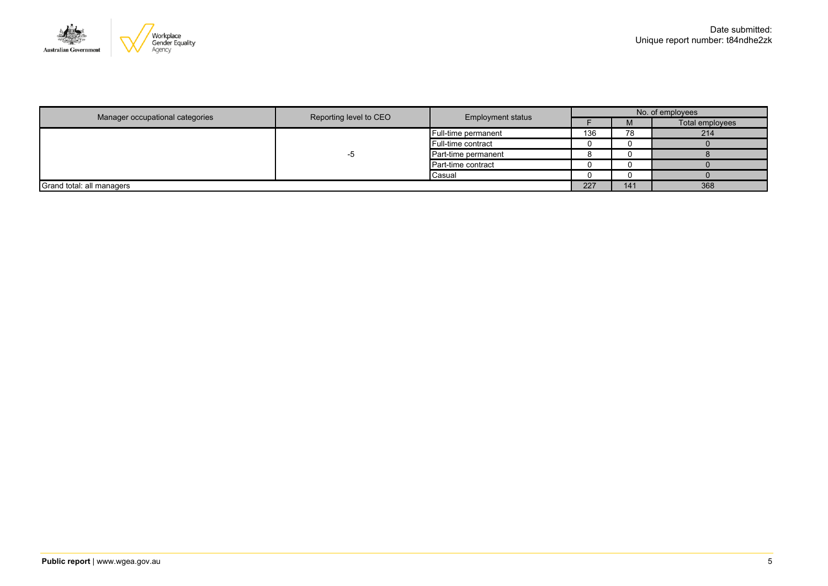

|                                 | <b>Employment status</b> |                     | No. of employees |     |                 |  |
|---------------------------------|--------------------------|---------------------|------------------|-----|-----------------|--|
| Manager occupational categories | Reporting level to CEO   |                     |                  | M   | Total employees |  |
|                                 |                          | Full-time permanent | 136              | 78  | 214             |  |
|                                 | -၁                       | Full-time contract  |                  |     |                 |  |
|                                 |                          | Part-time permanent |                  |     |                 |  |
|                                 |                          | Part-time contract  |                  |     |                 |  |
|                                 |                          | Casual              |                  |     |                 |  |
| Grand total: all managers       |                          |                     | 227              | 141 | 368             |  |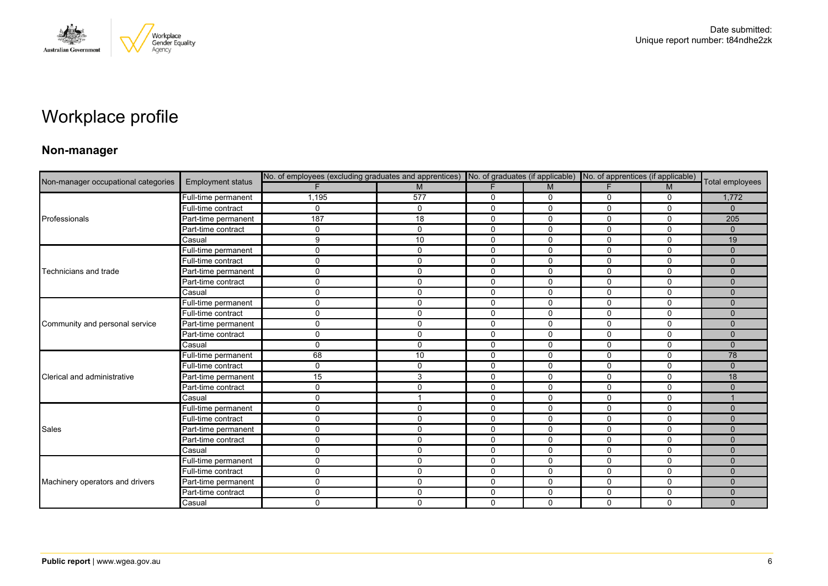

# Workplace profile

### **Non-manager**

| Non-manager occupational categories |                          |             | No. of employees (excluding graduates and apprentices) No. of graduates (if applicable) No. of apprentices (if applicable) |              |             |             |              |                 |
|-------------------------------------|--------------------------|-------------|----------------------------------------------------------------------------------------------------------------------------|--------------|-------------|-------------|--------------|-----------------|
|                                     | <b>Employment status</b> |             | M                                                                                                                          | F            | M           | F.          | M            | Total employees |
|                                     | Full-time permanent      | 1,195       | 577                                                                                                                        | 0            | 0           | 0           | 0            | 1,772           |
|                                     | Full-time contract       | $\Omega$    | $\Omega$                                                                                                                   | $\Omega$     | $\Omega$    | $\Omega$    | $\Omega$     | $\mathbf{0}$    |
| Professionals                       | Part-time permanent      | 187         | 18                                                                                                                         | $\mathbf 0$  | 0           | 0           | $\mathbf{0}$ | 205             |
|                                     | Part-time contract       | 0           | $\Omega$                                                                                                                   | $\mathbf{0}$ | $\mathbf 0$ | $\Omega$    | $\mathbf 0$  | $\Omega$        |
|                                     | Casual                   | 9           | 10                                                                                                                         | $\mathbf 0$  | 0           | 0           | $\mathbf 0$  | 19              |
|                                     | Full-time permanent      | 0           | $\Omega$                                                                                                                   | $\mathbf 0$  | 0           | 0           | $\mathbf 0$  | $\Omega$        |
|                                     | Full-time contract       | 0           | 0                                                                                                                          | 0            | 0           | 0           | 0            | $\mathbf{0}$    |
| Technicians and trade               | Part-time permanent      | 0           | $\Omega$                                                                                                                   | $\mathbf 0$  | $\mathbf 0$ | $\Omega$    | $\mathbf 0$  | $\Omega$        |
|                                     | Part-time contract       | 0           | 0                                                                                                                          | $\mathbf 0$  | 0           | 0           | $\mathbf 0$  | $\mathbf{0}$    |
|                                     | Casual                   | 0           | 0                                                                                                                          | $\mathbf 0$  | $\mathbf 0$ | 0           | $\mathbf 0$  | $\mathbf{0}$    |
|                                     | Full-time permanent      | 0           | $\mathbf{0}$                                                                                                               | 0            | 0           | $\Omega$    | $\mathbf{0}$ | $\Omega$        |
|                                     | Full-time contract       | 0           | $\Omega$                                                                                                                   | $\mathbf 0$  | 0           | $\Omega$    | $\mathbf 0$  | $\Omega$        |
| Community and personal service      | Part-time permanent      | 0           | 0                                                                                                                          | $\mathbf 0$  | $\mathbf 0$ | $\mathbf 0$ | $\mathbf 0$  | $\Omega$        |
|                                     | Part-time contract       | 0           | $\Omega$                                                                                                                   | $\mathbf 0$  | $\mathbf 0$ | $\Omega$    | $\mathbf 0$  | $\Omega$        |
|                                     | Casual                   | $\Omega$    | $\mathbf{0}$                                                                                                               | $\mathbf{0}$ | $\Omega$    | $\Omega$    | $\mathbf{0}$ | $\Omega$        |
|                                     | Full-time permanent      | 68          | 10                                                                                                                         | $\mathbf{0}$ | 0           | $\Omega$    | $\mathbf{0}$ | 78              |
|                                     | Full-time contract       | $\mathbf 0$ | 0                                                                                                                          | $\mathbf 0$  | $\mathbf 0$ | 0           | $\mathbf 0$  | $\mathbf{0}$    |
| Clerical and administrative         | Part-time permanent      | 15          | 3                                                                                                                          | $\mathbf{0}$ | $\Omega$    | $\Omega$    | $\mathbf{0}$ | 18              |
|                                     | Part-time contract       | 0           | $\Omega$                                                                                                                   | $\mathbf 0$  | $\mathbf 0$ | 0           | $\mathbf 0$  | $\Omega$        |
|                                     | Casual                   | 0           |                                                                                                                            | $\mathbf 0$  | $\mathbf 0$ | $\mathbf 0$ | $\mathbf 0$  |                 |
|                                     | Full-time permanent      | 0           | 0                                                                                                                          | $\mathbf 0$  | $\mathbf 0$ | 0           | $\mathbf 0$  | $\Omega$        |
|                                     | Full-time contract       | 0           | 0                                                                                                                          | $\mathbf 0$  | 0           | 0           | $\mathbf 0$  | $\Omega$        |
| Sales                               | Part-time permanent      | 0           | $\mathbf{0}$                                                                                                               | 0            | $\Omega$    | $\Omega$    | $\mathbf{0}$ | $\Omega$        |
|                                     | Part-time contract       | 0           | 0                                                                                                                          | $\mathbf 0$  | $\mathbf 0$ | 0           | $\mathbf 0$  | $\Omega$        |
|                                     | Casual                   | 0           | 0                                                                                                                          | $\mathbf 0$  | $\mathbf 0$ | 0           | $\mathbf 0$  | $\Omega$        |
|                                     | Full-time permanent      | 0           | 0                                                                                                                          | $\mathbf 0$  | $\mathbf 0$ | 0           | $\mathbf 0$  | $\mathbf{0}$    |
|                                     | Full-time contract       | 0           | $\Omega$                                                                                                                   | $\mathbf 0$  | $\mathbf 0$ | 0           | $\mathbf 0$  | $\Omega$        |
| Machinery operators and drivers     | Part-time permanent      | 0           | $\Omega$                                                                                                                   | $\mathbf 0$  | 0           | 0           | $\mathbf 0$  | $\Omega$        |
|                                     | Part-time contract       | 0           | $\mathbf{0}$                                                                                                               | $\mathbf 0$  | $\mathbf 0$ | 0           | $\mathbf 0$  | $\Omega$        |
|                                     | Casual                   | 0           | 0                                                                                                                          | $\mathbf 0$  | $\Omega$    | $\Omega$    | 0            | $\Omega$        |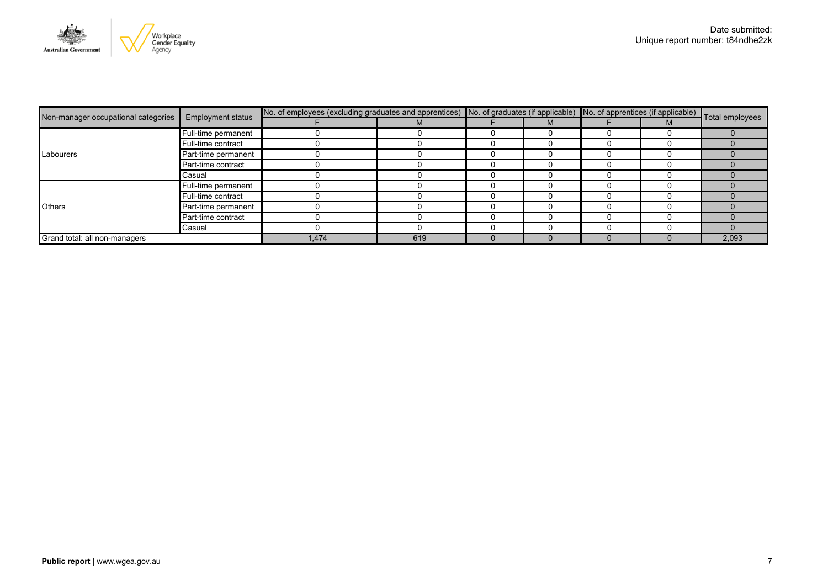

| Non-manager occupational categories | <b>Employment status</b> | No. of employees (excluding graduates and apprentices) No. of graduates (if applicable) No. of apprentices (if applicable) Total employees |     |  |   |  |   |       |
|-------------------------------------|--------------------------|--------------------------------------------------------------------------------------------------------------------------------------------|-----|--|---|--|---|-------|
|                                     |                          |                                                                                                                                            |     |  | M |  | M |       |
|                                     | Full-time permanent      |                                                                                                                                            |     |  |   |  |   |       |
|                                     | Full-time contract       |                                                                                                                                            |     |  |   |  |   |       |
| Labourers                           | Part-time permanent      |                                                                                                                                            |     |  |   |  |   |       |
|                                     | Part-time contract       |                                                                                                                                            |     |  |   |  |   |       |
|                                     | Casual                   |                                                                                                                                            |     |  |   |  |   |       |
|                                     | Full-time permanent      |                                                                                                                                            |     |  |   |  |   |       |
|                                     | Full-time contract       |                                                                                                                                            |     |  |   |  |   |       |
| <b>Others</b>                       | Part-time permanent      |                                                                                                                                            |     |  |   |  |   |       |
|                                     | Part-time contract       |                                                                                                                                            |     |  |   |  |   |       |
|                                     | Casual                   |                                                                                                                                            |     |  |   |  |   |       |
| Grand total: all non-managers       |                          | 1,474                                                                                                                                      | 619 |  |   |  |   | 2,093 |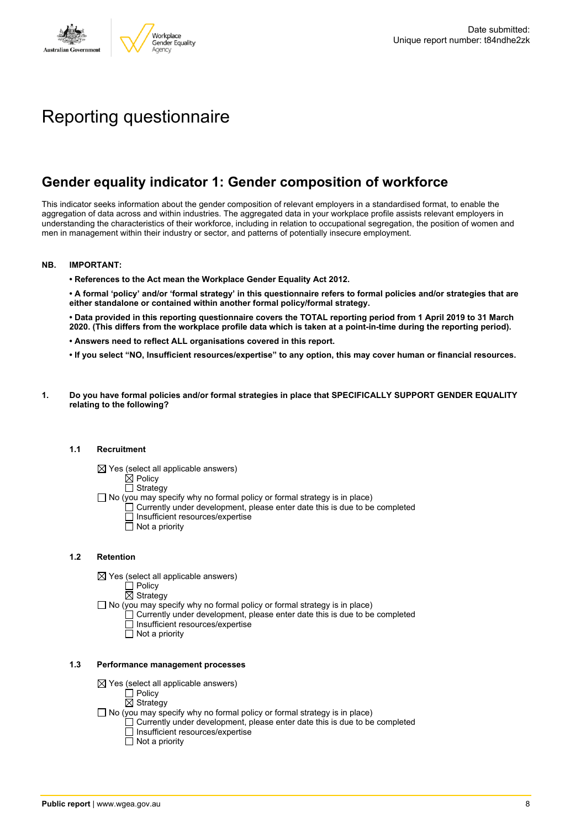

# Reporting questionnaire

## **Gender equality indicator 1: Gender composition of workforce**

This indicator seeks information about the gender composition of relevant employers in a standardised format, to enable the aggregation of data across and within industries. The aggregated data in your workplace profile assists relevant employers in understanding the characteristics of their workforce, including in relation to occupational segregation, the position of women and men in management within their industry or sector, and patterns of potentially insecure employment.

#### **NB. IMPORTANT:**

**• References to the Act mean the Workplace Gender Equality Act 2012.**

• A formal 'policy' and/or 'formal strategy' in this questionnaire refers to formal policies and/or strategies that are **either standalone or contained within another formal policy/formal strategy.**

• Data provided in this reporting questionnaire covers the TOTAL reporting period from 1 April 2019 to 31 March 2020. (This differs from the workplace profile data which is taken at a point-in-time during the reporting period).

- **• Answers need to reflect ALL organisations covered in this report.**
- . If you select "NO, Insufficient resources/expertise" to any option, this may cover human or financial resources.
- **1. Do you have formal policies and/or formal strategies in place that SPECIFICALLY SUPPORT GENDER EQUALITY relating to the following?**

#### **1.1 Recruitment**

- $\boxtimes$  Yes (select all applicable answers)
	- $\mathbb{\dot{A}}$  Policy
	- $\Box$  Strategy
- No (you may specify why no formal policy or formal strategy is in place)
	- $\Box$  Currently under development, please enter date this is due to be completed
		- $\overline{\Box}$  Insufficient resources/expertise
		- $\Box$  Not a priority

#### **1.2 Retention**

- $\boxtimes$  Yes (select all applicable answers)
	- $\Box$  Policy
	- $\boxtimes$  Strategy
- No (you may specify why no formal policy or formal strategy is in place)
	- $\Box$  Currently under development, please enter date this is due to be completed
		- Insufficient resources/expertise
		- Not a priority

#### **1.3 Performance management processes**

- $\boxtimes$  Yes (select all applicable answers)
	- $\overline{\Box}$  Policy
	- $\boxtimes$  Strategy
- $\Box$  No (you may specify why no formal policy or formal strategy is in place)
	- $\Box$  Currently under development, please enter date this is due to be completed
	- $\Box$  Insufficient resources/expertise
	- $\Box$  Not a priority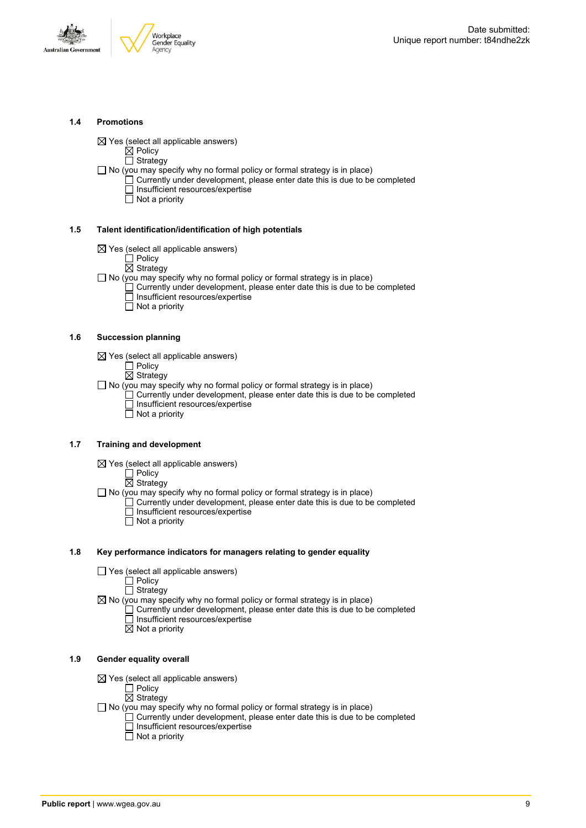

#### **1.4 Promotions**

 $\boxtimes$  Yes (select all applicable answers)

 $\boxtimes$  Policy  $\Box$  Strategy

- $\Box$  No (you may specify why no formal policy or formal strategy is in place)
	- $\Box$  Currently under development, please enter date this is due to be completed □ Insufficient resources/expertise
		- $\overline{\Box}$  Not a priority

#### **1.5 Talent identification/identification of high potentials**

- $\boxtimes$  Yes (select all applicable answers)
	- Policy
	- $\overline{\boxtimes}$  Strategy
- $\Box$  No (you may specify why no formal policy or formal strategy is in place)
	- Currently under development, please enter date this is due to be completed Insufficient resources/expertise
		- $\overline{\Box}$  Not a priority

#### **1.6 Succession planning**

- $\boxtimes$  Yes (select all applicable answers)
	- $\Box$  Policy
	- $\overline{\boxtimes}$  Strategy

 $\Box$  No (you may specify why no formal policy or formal strategy is in place)

- $\Box$  Currently under development, please enter date this is due to be completed Insufficient resources/expertise
- Not a priority

#### **1.7 Training and development**

- $\boxtimes$  Yes (select all applicable answers)
	- **门** Policy
		- $\overline{\boxtimes}$  Strategy
- $\Box$  No (you may specify why no formal policy or formal strategy is in place)
	- Currently under development, please enter date this is due to be completed Insufficient resources/expertise
		- $\Box$  Not a priority

#### **1.8 Key performance indicators for managers relating to gender equality**

- $\Box$  Yes (select all applicable answers)
	- Policy
	- **Strategy**
- $\boxtimes$  No (you may specify why no formal policy or formal strategy is in place)
	- $\Box$  Currently under development, please enter date this is due to be completed  $\Box$  Insufficient resources/expertise
		- $\boxtimes$  Not a priority

#### **1.9 Gender equality overall**

- $\boxtimes$  Yes (select all applicable answers)
	- $\Box$  Policy
	- $\overline{\boxtimes}$  Strategy
- $\Box$  No (you may specify why no formal policy or formal strategy is in place)
	- $\Box$  Currently under development, please enter date this is due to be completed □ Insufficient resources/expertise
		- $\Box$  Not a priority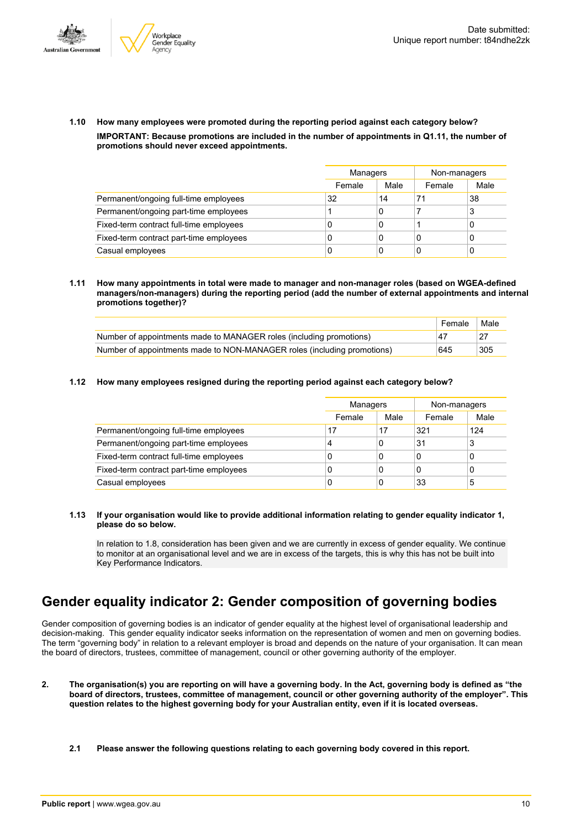



**1.10 How many employees were promoted during the reporting period against each category below? IMPORTANT: Because promotions are included in the number of appointments in Q1.11, the number of promotions should never exceed appointments.**

|                                         |        | Managers |        | Non-managers |
|-----------------------------------------|--------|----------|--------|--------------|
|                                         | Female | Male     | Female | Male         |
| Permanent/ongoing full-time employees   | 32     | 14       | 71     | 38           |
| Permanent/ongoing part-time employees   |        | 0        |        | 3            |
| Fixed-term contract full-time employees | 0      | 0        |        |              |
| Fixed-term contract part-time employees | 0      | 0        | 0      |              |
| Casual employees                        | 0      | 0        | C      |              |

**1.11 How many appointments in total were made to manager and non-manager roles (based on WGEA-defined managers/non-managers) during the reporting period (add the number of external appointments and internal promotions together)?**

|                                                                         | Female | Male |
|-------------------------------------------------------------------------|--------|------|
| Number of appointments made to MANAGER roles (including promotions)     | .47    |      |
| Number of appointments made to NON-MANAGER roles (including promotions) | 645    | 305  |

**1.12 How many employees resigned during the reporting period against each category below?**

|                                         | Managers |      | Non-managers |      |
|-----------------------------------------|----------|------|--------------|------|
|                                         | Female   | Male | Female       | Male |
| Permanent/ongoing full-time employees   | 17       | 17   | 321          | 124  |
| Permanent/ongoing part-time employees   | 4        | 0    | 31           | 3    |
| Fixed-term contract full-time employees | 0        | 0    | 0            | 0    |
| Fixed-term contract part-time employees | 0        | 0    | 0            | 0    |
| Casual employees                        | 0        | 0    | 33           | 5    |

#### **1.13 If your organisation would like to provide additional information relating to gender equality indicator 1, please do so below.**

In relation to 1.8, consideration has been given and we are currently in excess of gender equality. We continue to monitor at an organisational level and we are in excess of the targets, this is why this has not be built into Key Performance Indicators.

# **Gender equality indicator 2: Gender composition of governing bodies**

Gender composition of governing bodies is an indicator of gender equality at the highest level of organisational leadership and decision-making. This gender equality indicator seeks information on the representation of women and men on governing bodies. The term "governing body" in relation to a relevant employer is broad and depends on the nature of your organisation. It can mean the board of directors, trustees, committee of management, council or other governing authority of the employer.

- 2. The organisation(s) you are reporting on will have a governing body. In the Act, governing body is defined as "the board of directors, trustees, committee of management, council or other governing authority of the employer". This question relates to the highest governing body for your Australian entity, even if it is located overseas.
	- **2.1 Please answer the following questions relating to each governing body covered in this report.**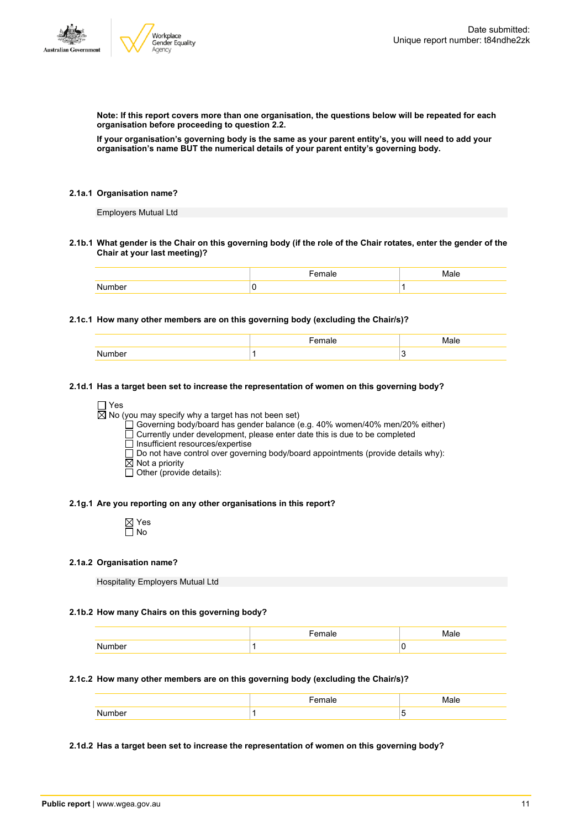**Note: If this report covers more than one organisation, the questions below will be repeated for each organisation before proceeding to question 2.2.**

If your organisation's governing body is the same as your parent entity's, you will need to add your **organisation's name BUT the numerical details of your parent entity's governing body.**

#### **2.1a.1 Organisation name?**

Employers Mutual Ltd

2.1b.1 What gender is the Chair on this governing body (if the role of the Chair rotates, enter the gender of the **Chair at your last meeting)?**

#### **2.1c.1 How many other members are on this governing body (excluding the Chair/s)?**

#### **2.1d.1 Has a target been set to increase the representation of women on this governing body?**

#### □ Yes

 $\overline{\boxtimes}$  No (you may specify why a target has not been set)

Governing body/board has gender balance (e.g. 40% women/40% men/20% either)

Currently under development, please enter date this is due to be completed

□ Insufficient resources/expertise

 $\square$  Do not have control over governing body/board appointments (provide details why):

- $\boxtimes$  Not a priority
- $\overline{\Box}$  Other (provide details):

#### **2.1g.1 Are you reporting on any other organisations in this report?**

⊠ Yes  $\Box$  No

#### **2.1a.2 Organisation name?**

Hospitality Employers Mutual Ltd

#### **2.1b.2 How many Chairs on this governing body?**

#### **2.1c.2 How many other members are on this governing body (excluding the Chair/s)?**

#### **2.1d.2 Has a target been set to increase the representation of women on this governing body?**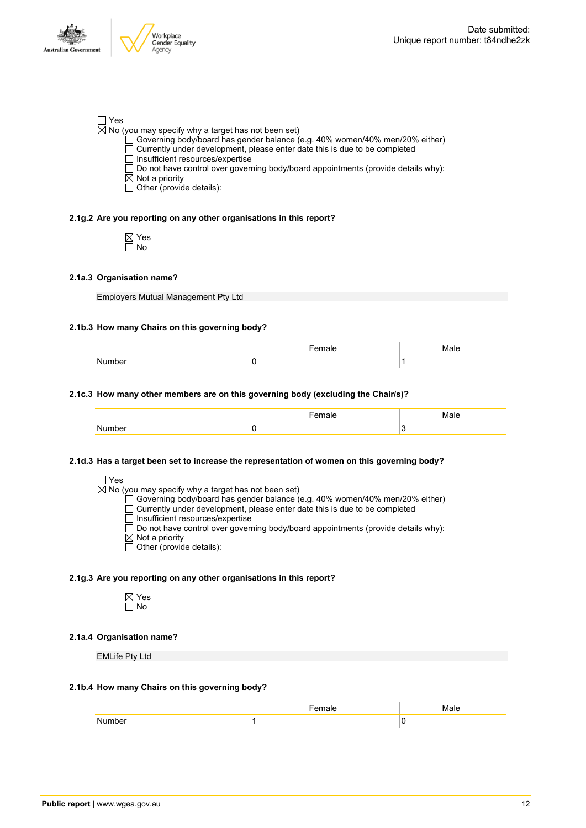

#### Yes

 $\overline{\boxtimes}$  No (you may specify why a target has not been set)

- Governing body/board has gender balance (e.g. 40% women/40% men/20% either)
- Currently under development, please enter date this is due to be completed
- Insufficient resources/expertise
- $\overline{\Box}$  Do not have control over governing body/board appointments (provide details why):
- $\boxtimes$  Not a priority
- $\Box$  Other (provide details):

#### **2.1g.2 Are you reporting on any other organisations in this report?**

Yes No

#### **2.1a.3 Organisation name?**

Employers Mutual Management Pty Ltd

#### **2.1b.3 How many Chairs on this governing body?**

| $   -$<br>۱۳. |  |
|---------------|--|
|               |  |

#### **2.1c.3 How many other members are on this governing body (excluding the Chair/s)?**

#### **2.1d.3 Has a target been set to increase the representation of women on this governing body?**

| × |  |
|---|--|
|   |  |

No (you may specify why a target has not been set)

Governing body/board has gender balance (e.g. 40% women/40% men/20% either)

- Currently under development, please enter date this is due to be completed
- Insufficient resources/expertise
- Do not have control over governing body/board appointments (provide details why):
- $\boxtimes$  Not a priority
- $\overline{\Box}$  Other (provide details):

#### **2.1g.3 Are you reporting on any other organisations in this report?**



#### **2.1a.4 Organisation name?**

EMLife Pty Ltd

#### **2.1b.4 How many Chairs on this governing body?**

|              | $ -$<br>male | $\blacksquare$ |
|--------------|--------------|----------------|
| $\mathbf{A}$ |              |                |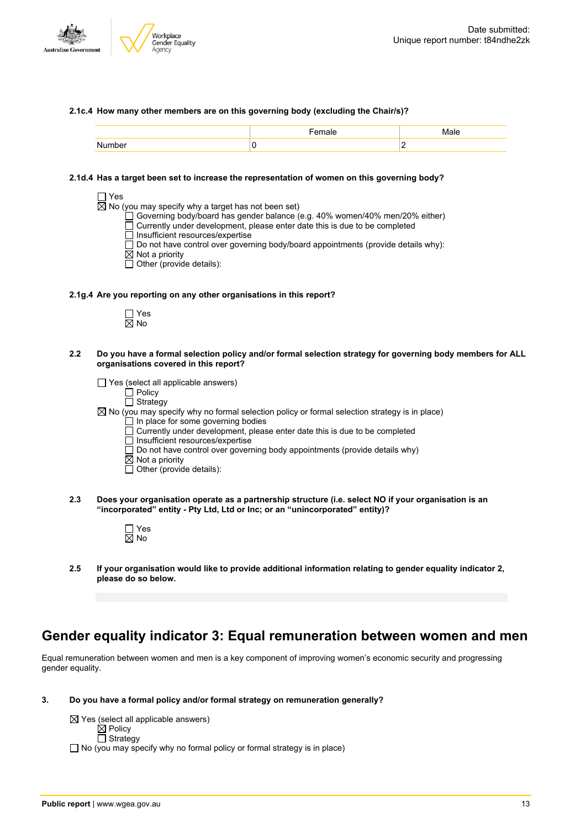

#### **2.1c.4 How many other members are on this governing body (excluding the Chair/s)?**

#### **2.1d.4 Has a target been set to increase the representation of women on this governing body?**

|     | □ Yes<br>$\boxtimes$ No (you may specify why a target has not been set)<br>Governing body/board has gender balance (e.g. 40% women/40% men/20% either)<br>Currently under development, please enter date this is due to be completed<br>Insufficient resources/expertise<br>Do not have control over governing body/board appointments (provide details why):<br>$\boxtimes$ Not a priority<br>Other (provide details): |
|-----|-------------------------------------------------------------------------------------------------------------------------------------------------------------------------------------------------------------------------------------------------------------------------------------------------------------------------------------------------------------------------------------------------------------------------|
|     | 2.1g.4 Are you reporting on any other organisations in this report?                                                                                                                                                                                                                                                                                                                                                     |
|     | $\sqcap$ Yes<br>$\boxtimes$ No                                                                                                                                                                                                                                                                                                                                                                                          |
| 2.2 | Do you have a formal selection policy and/or formal selection strategy for governing body members for ALL<br>organisations covered in this report?                                                                                                                                                                                                                                                                      |
|     | $\Box$ Yes (select all applicable answers)<br>Policy                                                                                                                                                                                                                                                                                                                                                                    |
|     | Strategy<br>$\boxtimes$ No (you may specify why no formal selection policy or formal selection strategy is in place)                                                                                                                                                                                                                                                                                                    |
|     | $\Box$ In place for some governing bodies                                                                                                                                                                                                                                                                                                                                                                               |
|     | Currently under development, please enter date this is due to be completed<br>Insufficient resources/expertise                                                                                                                                                                                                                                                                                                          |
|     | Do not have control over governing body appointments (provide details why)<br>$\boxtimes$ Not a priority                                                                                                                                                                                                                                                                                                                |
|     | Other (provide details):                                                                                                                                                                                                                                                                                                                                                                                                |

**2.3 Does your organisation operate as a partnership structure (i.e. select NO if your organisation is an "incorporated" entity - Pty Ltd, Ltd or Inc; or an "unincorporated" entity)?**



**2.5 If your organisation would like to provide additional information relating to gender equality indicator 2, please do so below.**

# **Gender equality indicator 3: Equal remuneration between women and men**

Equal remuneration between women and men is a key component of improving women's economic security and progressing gender equality.

**3. Do you have a formal policy and/or formal strategy on remuneration generally?**

 $\boxtimes$  Yes (select all applicable answers) Policy Strategy  $\Box$  No (you may specify why no formal policy or formal strategy is in place)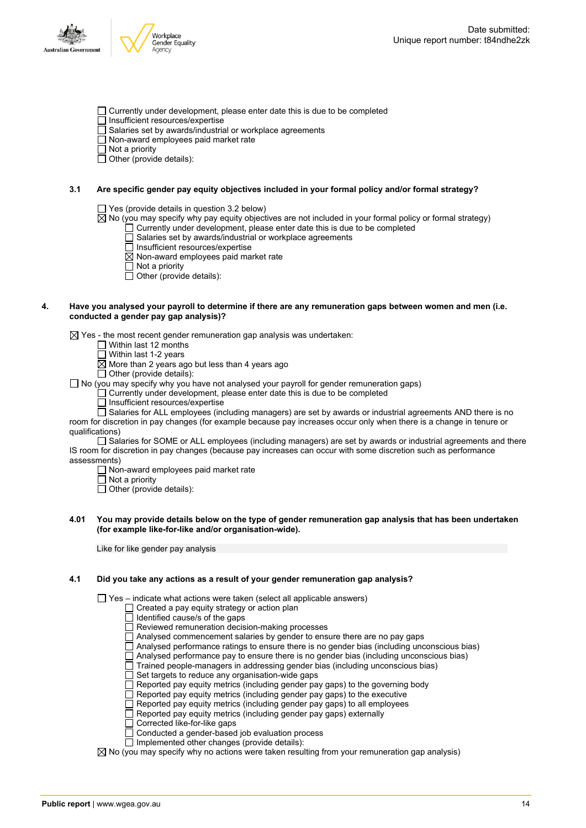



- $\Box$  Currently under development, please enter date this is due to be completed
- Insufficient resources/expertise
- $\overline{\Box}$  Salaries set by awards/industrial or workplace agreements
- Non-award employees paid market rate

 $\Box$  Not a priority

 $\Box$  Other (provide details):

#### **3.1 Are specific gender pay equity objectives included in your formal policy and/or formal strategy?**

Yes (provide details in question 3.2 below)

- $\boxtimes$  No (you may specify why pay equity objectives are not included in your formal policy or formal strategy)
	- Currently under development, please enter date this is due to be completed Salaries set by awards/industrial or workplace agreements
	- Insufficient resources/expertise
	- $\overline{\boxtimes}$  Non-award employees paid market rate
	- $\overline{\Box}$  Not a priority
	- $\Box$  Other (provide details):

#### 4. Have you analysed your payroll to determine if there are any remuneration gaps between women and men (i.e. **conducted a gender pay gap analysis)?**

 $\boxtimes$  Yes - the most recent gender remuneration gap analysis was undertaken:

- $\Box$  Within last 12 months
- $\Box$  Within last 1-2 years
- $\overline{\boxtimes}$  More than 2 years ago but less than 4 years ago

 $\Box$  Other (provide details):  $\Box$  No (you may specify why you have not analysed your payroll for gender remuneration gaps)

Currently under development, please enter date this is due to be completed

 $\Box$  Insufficient resources/expertise

 $\Box$  Salaries for ALL employees (including managers) are set by awards or industrial agreements AND there is no room for discretion in pay changes (for example because pay increases occur only when there is a change in tenure or qualifications)

Salaries for SOME or ALL employees (including managers) are set by awards or industrial agreements and there IS room for discretion in pay changes (because pay increases can occur with some discretion such as performance assessments)

- $\Box$  Non-award employees paid market rate
- $\overline{\Box}$  Not a priority
- $\overline{\Box}$  Other (provide details):

#### 4.01 You may provide details below on the type of gender remuneration gap analysis that has been undertaken **(for example like-for-like and/or organisation-wide).**

Like for like gender pay analysis

#### **4.1 Did you take any actions as a result of your gender remuneration gap analysis?**

 $\Box$  Yes – indicate what actions were taken (select all applicable answers)

- Created a pay equity strategy or action plan
- Identified cause/s of the gaps
- Reviewed remuneration decision-making processes
- $\Box$  Analysed commencement salaries by gender to ensure there are no pay gaps
- $\Box$  Analysed performance ratings to ensure there is no gender bias (including unconscious bias)
- Analysed performance pay to ensure there is no gender bias (including unconscious bias)
- $\Box$  Trained people-managers in addressing gender bias (including unconscious bias)
- $\square$  Set targets to reduce any organisation-wide gaps
- Reported pay equity metrics (including gender pay gaps) to the governing body
- Reported pay equity metrics (including gender pay gaps) to the executive
- $\Box$  Reported pay equity metrics (including gender pay gaps) to all employees Reported pay equity metrics (including gender pay gaps) to all emp<br>
Reported pay equity metrics (including gender pay gaps) externally<br>
Corrected like-for-like gaps
- 
- Corrected like-for-like gaps
- Conducted a gender-based job evaluation process
- $\Box$  Implemented other changes (provide details):

 $\boxtimes$  No (you may specify why no actions were taken resulting from your remuneration gap analysis)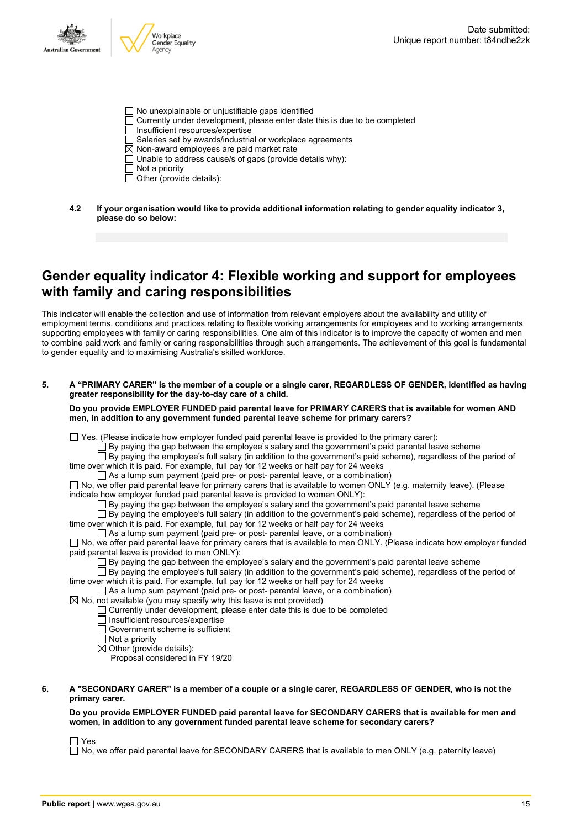

- No unexplainable or unjustifiable gaps identified
- Currently under development, please enter date this is due to be completed
- $\overline{\Box}$  Insufficient resources/expertise
- $\Box$  Salaries set by awards/industrial or workplace agreements
- $\boxtimes$  Non-award employees are paid market rate
- $\Box$  Unable to address cause/s of gaps (provide details why):
- $\Box$  Not a priority
- $\Box$  Other (provide details):
- **4.2 If your organisation would like to provide additional information relating to gender equality indicator 3, please do so below:**

### **Gender equality indicator 4: Flexible working and support for employees with family and caring responsibilities**

This indicator will enable the collection and use of information from relevant employers about the availability and utility of employment terms, conditions and practices relating to flexible working arrangements for employees and to working arrangements supporting employees with family or caring responsibilities. One aim of this indicator is to improve the capacity of women and men to combine paid work and family or caring responsibilities through such arrangements. The achievement of this goal is fundamental to gender equality and to maximising Australia's skilled workforce.

5. A "PRIMARY CARER" is the member of a couple or a single carer, REGARDLESS OF GENDER, identified as having **greater responsibility for the day-to-day care of a child.**

**Do you provide EMPLOYER FUNDED paid parental leave for PRIMARY CARERS that is available for women AND men, in addition to any government funded parental leave scheme for primary carers?**

 $\Box$  Yes. (Please indicate how employer funded paid parental leave is provided to the primary carer):

 $\Box$  By paying the gap between the employee's salary and the government's paid parental leave scheme

By paying the employee's full salary (in addition to the government's paid scheme), regardless of the period of time over which it is paid. For example, full pay for 12 weeks or half pay for 24 weeks

As a lump sum payment (paid pre- or post- parental leave, or a combination)

No, we offer paid parental leave for primary carers that is available to women ONLY (e.g. maternity leave). (Please indicate how employer funded paid parental leave is provided to women ONLY):

 $\square$  By paying the gap between the employee's salary and the government's paid parental leave scheme

 $\Box$  By paying the employee's full salary (in addition to the government's paid scheme), regardless of the period of time over which it is paid. For example, full pay for 12 weeks or half pay for 24 weeks

 $\Box$  As a lump sum payment (paid pre- or post- parental leave, or a combination)

 $\square$  No, we offer paid parental leave for primary carers that is available to men ONLY. (Please indicate how employer funded paid parental leave is provided to men ONLY):

 $\Box$  By paying the gap between the employee's salary and the government's paid parental leave scheme

 $\Box$  By paying the employee's full salary (in addition to the government's paid scheme), regardless of the period of time over which it is paid. For example, full pay for 12 weeks or half pay for 24 weeks

 $\Box$  As a lump sum payment (paid pre- or post- parental leave, or a combination)

 $\boxtimes$  No, not available (you may specify why this leave is not provided)

 $\Box$  Currently under development, please enter date this is due to be completed

Insufficient resources/expertise

Government scheme is sufficient

Not a priority

 $\boxtimes$  Other (provide details):

Proposal considered in FY 19/20

#### 6. A "SECONDARY CARER" is a member of a couple or a single carer, REGARDLESS OF GENDER, who is not the **primary carer.**

#### **Do you provide EMPLOYER FUNDED paid parental leave for SECONDARY CARERS that is available for men and women, in addition to any government funded parental leave scheme for secondary carers?**

 $\Box$  Yes

 $\Box$  No, we offer paid parental leave for SECONDARY CARERS that is available to men ONLY (e.g. paternity leave)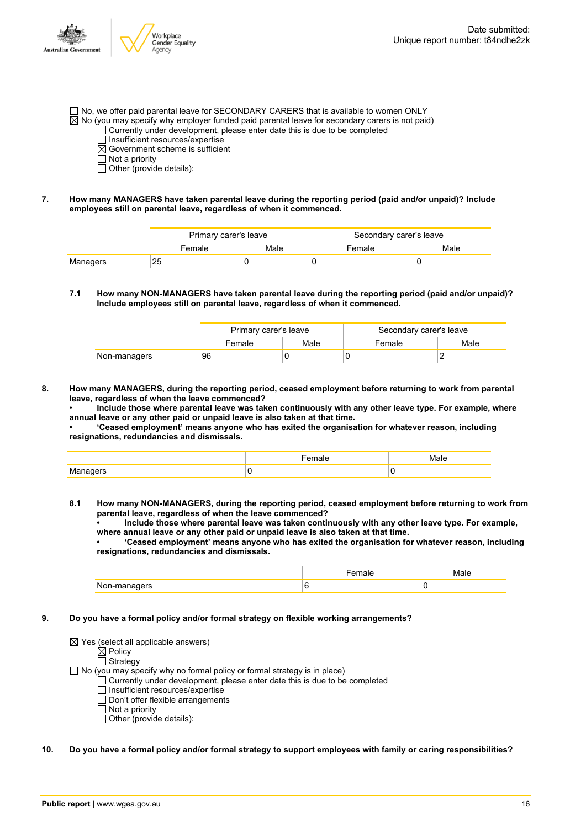- $\Box$  No, we offer paid parental leave for SECONDARY CARERS that is available to women ONLY  $\boxtimes$  No (you may specify why employer funded paid parental leave for secondary carers is not paid)
	- $\Box$  Currently under development, please enter date this is due to be completed
		- $\Box$  Insufficient resources/expertise
		- $\boxtimes$  Government scheme is sufficient
		- $\Box$  Not a priority
		- $\Box$  Other (provide details):
- **7. How many MANAGERS have taken parental leave during the reporting period (paid and/or unpaid)? Include employees still on parental leave, regardless of when it commenced.**

|          | Primary carer's leave |      | Secondary carer's leave |      |
|----------|-----------------------|------|-------------------------|------|
|          | Female                | Male | Female                  | Male |
| Managers | 25                    |      |                         |      |

#### **7.1 How many NON-MANAGERS have taken parental leave during the reporting period (paid and/or unpaid)? Include employees still on parental leave, regardless of when it commenced.**

|              | Primary carer's leave |      | Secondary carer's leave |      |
|--------------|-----------------------|------|-------------------------|------|
|              | Female                | Male | Female                  | Male |
| Non-managers | 96                    |      |                         |      |

**8. How many MANAGERS, during the reporting period, ceased employment before returning to work from parental leave, regardless of when the leave commenced?**

**• Include those where parental leave was taken continuously with any other leave type. For example, where annual leave or any other paid or unpaid leave is also taken at that time.**

**• 'Ceased employment' means anyone who has exited the organisation for whatever reason, including resignations, redundancies and dismissals.**

|                    | Male |
|--------------------|------|
| צופוזו<br>$\cdots$ |      |

**8.1 How many NON-MANAGERS, during the reporting period, ceased employment before returning to work from parental leave, regardless of when the leave commenced?**

**• Include those where parental leave was taken continuously with any other leave type. For example, where annual leave or any other paid or unpaid leave is also taken at that time.**

**• 'Ceased employment' means anyone who has exited the organisation for whatever reason, including resignations, redundancies and dismissals.**

| Nh<br>. | v |
|---------|---|

**9. Do you have a formal policy and/or formal strategy on flexible working arrangements?**

| $\boxtimes$ Yes (select all applicable answers)                                   |
|-----------------------------------------------------------------------------------|
| $\boxtimes$ Policy                                                                |
| $\Box$ Strategy                                                                   |
| $\Box$ No (you may specify why no formal policy or formal strategy is in place)   |
| $\Box$ Currently under development, please enter date this is due to be completed |
| $\Box$ Insufficient resources/expertise                                           |
| $\Box$ Don't offer flexible arrangements                                          |
| $\Box$ Not a priority                                                             |
| $\Box$ Other (provide details):                                                   |

#### 10. Do you have a formal policy and/or formal strategy to support employees with family or caring responsibilities?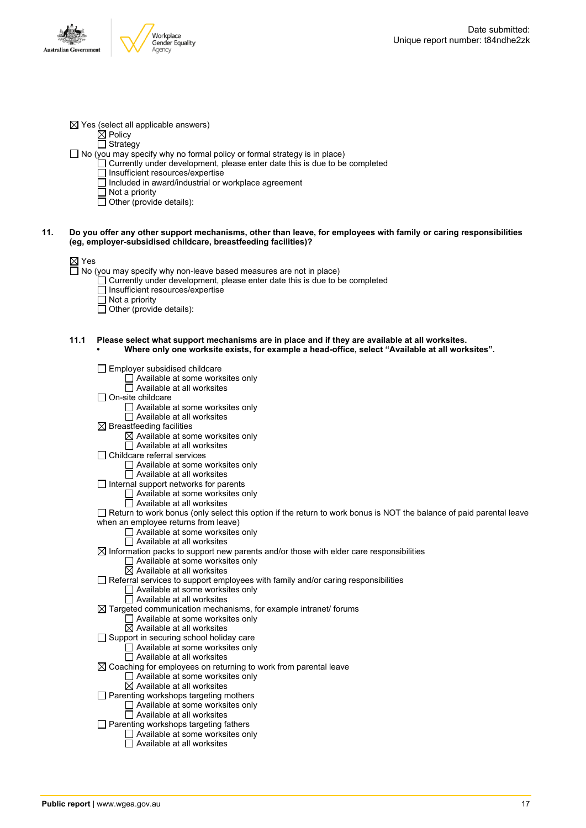

| $\boxtimes$ Yes (select all applicable answers) |  |
|-------------------------------------------------|--|
| $\boxtimes$ Policy                              |  |

□ Strategy

- $\Box$  No (you may specify why no formal policy or formal strategy is in place)
	- $\Box$  Currently under development, please enter date this is due to be completed
	- □ Insufficient resources/expertise
	- $\Box$  Included in award/industrial or workplace agreement
	- $\Box$  Not a priority
	- $\Box$  Other (provide details):

#### 11. Do you offer any other support mechanisms, other than leave, for employees with family or caring responsibilities **(eg, employer-subsidised childcare, breastfeeding facilities)?**

|--|--|

- $\overline{\Box}$  No (you may specify why non-leave based measures are not in place)
	- $\Box$  Currently under development, please enter date this is due to be completed
	- $\overline{\Box}$  Insufficient resources/expertise
	- $\Box$  Not a priority
	- $\Box$  Other (provide details):
- **11.1 Please select what support mechanisms are in place and if they are available at all worksites.**
	- **• Where only one worksite exists, for example a head-office, select "Available at all worksites".**
	- Employer subsidised childcare □ Available at some worksites only  $\Box$  Available at all worksites  $\Box$  On-site childcare □ Available at some worksites only  $\Box$  Available at all worksites  $\boxtimes$  Breastfeeding facilities  $\boxtimes$  Available at some worksites only □ Available at all worksites  $\Box$  Childcare referral services Available at some worksites only Available at all worksites  $\Box$  Internal support networks for parents □ Available at some worksites only  $\Box$  Available at all worksites  $\Box$  Return to work bonus (only select this option if the return to work bonus is NOT the balance of paid parental leave when an employee returns from leave) □ Available at some worksites only  $\Box$  Available at all worksites  $\boxtimes$  Information packs to support new parents and/or those with elder care responsibilities Available at some worksites only  $\boxtimes$  Available at all worksites  $\Box$  Referral services to support employees with family and/or caring responsibilities Available at some worksites only  $\overline{\Box}$  Available at all worksites  $\boxtimes$  Targeted communication mechanisms, for example intranet/ forums Available at some worksites only Available at all worksites Support in securing school holiday care □ Available at some worksites only  $\Box$  Available at all worksites  $\boxtimes$  Coaching for employees on returning to work from parental leave  $\Box$  Available at some worksites only  $\overline{\boxtimes}$  Available at all worksites  $\Box$  Parenting workshops targeting mothers Available at some worksites only  $\Box$  Available at all worksites □ Parenting workshops targeting fathers Available at some worksites only Available at all worksites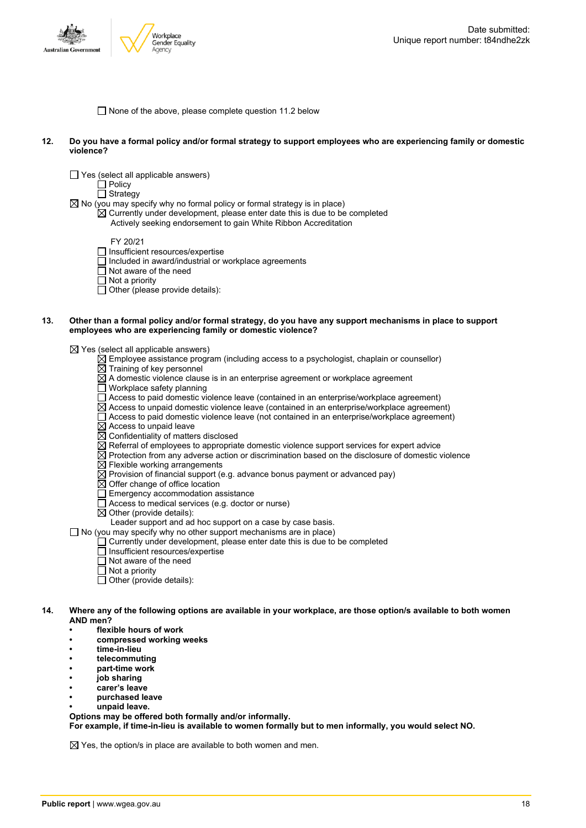

 $\Box$  None of the above, please complete question 11.2 below

- 12. Do you have a formal policy and/or formal strategy to support employees who are experiencing family or domestic **violence?**
	- Yes (select all applicable answers)

 $\Box$  Policy

 $\Box$  Strategy

 $\boxtimes$  No (you may specify why no formal policy or formal strategy is in place)

 $\overline{\boxtimes}$  Currently under development, please enter date this is due to be completed Actively seeking endorsement to gain White Ribbon Accreditation

FY 20/21

- □ Insufficient resources/expertise
- $\Box$  Included in award/industrial or workplace agreements
- $\overline{\Box}$  Not aware of the need
- $\Box$  Not a priority
- $\Box$  Other (please provide details):

#### 13. Other than a formal policy and/or formal strategy, do you have any support mechanisms in place to support **employees who are experiencing family or domestic violence?**

 $\boxtimes$  Yes (select all applicable answers)

- $\boxtimes$  Employee assistance program (including access to a psychologist, chaplain or counsellor)
- $\overline{\boxtimes}$  Training of key personnel
- $\boxtimes$  A domestic violence clause is in an enterprise agreement or workplace agreement
- Workplace safety planning
- Access to paid domestic violence leave (contained in an enterprise/workplace agreement)
- $\overline{\boxtimes}$  Access to unpaid domestic violence leave (contained in an enterprise/workplace agreement)
- Access to paid domestic violence leave (not contained in an enterprise/workplace agreement)
- $\overline{\boxtimes}$  Access to unpaid leave
- $\overline{\boxtimes}$  Confidentiality of matters disclosed
- $\overline{\boxtimes}$  Referral of employees to appropriate domestic violence support services for expert advice
- $\boxtimes$  Protection from any adverse action or discrimination based on the disclosure of domestic violence
- $\boxtimes$  Flexible working arrangements
- $\boxtimes$  Provision of financial support (e.g. advance bonus payment or advanced pay)
- $\boxtimes$  Offer change of office location
- $\Box$  Emergency accommodation assistance
- Access to medical services (e.g. doctor or nurse)
- $\boxtimes$  Other (provide details):

Leader support and ad hoc support on a case by case basis.

 $\Box$  No (you may specify why no other support mechanisms are in place)

- Currently under development, please enter date this is due to be completed
- Insufficient resources/expertise
- $\overline{\Box}$  Not aware of the need
- $\Box$  Not a priority
- $\overline{\Box}$  Other (provide details):
- 14. Where any of the following options are available in your workplace, are those option/s available to both women **AND men?**
	- **• flexible hours of work**
	- **• compressed working weeks**
	- **• time-in-lieu**
	- **• telecommuting**
	- **• part-time work**
	- **• job sharing**
	- **• carer's leave**
	- **• purchased leave**
	- **• unpaid leave.**

**Options may be offered both formally and/or informally.**

**For example, if time-in-lieu is available to women formally but to men informally, you would select NO.**

 $\boxtimes$  Yes, the option/s in place are available to both women and men.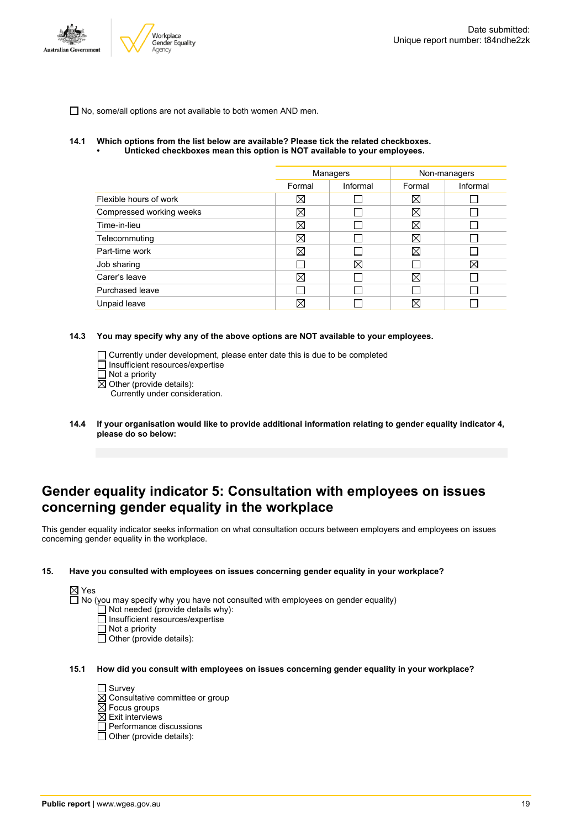

 $\Box$  No, some/all options are not available to both women AND men.

#### **14.1 Which options from the list below are available? Please tick the related checkboxes. • Unticked checkboxes mean this option is NOT available to your employees.**

| Managers    |          | Non-managers |          |
|-------------|----------|--------------|----------|
| Formal      | Informal | Formal       | Informal |
| ⊠           |          | $\boxtimes$  |          |
| ⊠           |          | $\boxtimes$  |          |
| ⊠           |          | $\boxtimes$  |          |
| $\boxtimes$ |          | Χ            |          |
| ⊠           |          | $\boxtimes$  |          |
|             | X        |              | Χ        |
| ⊠           |          | $\boxtimes$  |          |
|             |          |              |          |
| Χ           |          | ⊠            |          |
|             |          |              |          |

#### **14.3 You may specify why any of the above options are NOT available to your employees.**

Currently under development, please enter date this is due to be completed Insufficient resources/expertise

- Not a priority
- $\boxtimes$  Other (provide details):

Currently under consideration.

**14.4 If your organisation would like to provide additional information relating to gender equality indicator 4, please do so below:**

### **Gender equality indicator 5: Consultation with employees on issues concerning gender equality in the workplace**

This gender equality indicator seeks information on what consultation occurs between employers and employees on issues concerning gender equality in the workplace.

#### **15. Have you consulted with employees on issues concerning gender equality in your workplace?**

 $\boxtimes$  Yes

 $\Box$  No (you may specify why you have not consulted with employees on gender equality)

- $\Box$  Not needed (provide details why):
- Insufficient resources/expertise
- Not a priority
- $\Box$  Other (provide details):

#### **15.1 How did you consult with employees on issues concerning gender equality in your workplace?**

- □ Survey  $\boxtimes$  Consultative committee or group  $\overline{\boxtimes}$  Focus groups  $\boxtimes$  Exit interviews
- $\Box$  Performance discussions
- Other (provide details):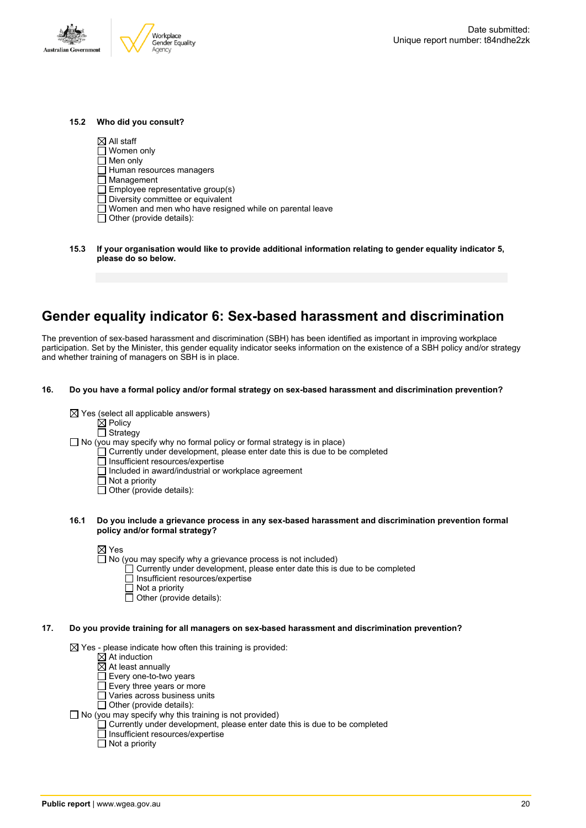

#### **15.2 Who did you consult?**

 $\boxtimes$  All staff

- Women only
- $\Box$  Men only  $\Box$  Human resources managers
- 
- $\overline{\Box}$  Management
- $\Box$  Employee representative group(s)
- Diversity committee or equivalent
- Women and men who have resigned while on parental leave
- $\Box$  Other (provide details):
- **15.3 If your organisation would like to provide additional information relating to gender equality indicator 5, please do so below.**

## **Gender equality indicator 6: Sex-based harassment and discrimination**

The prevention of sex-based harassment and discrimination (SBH) has been identified as important in improving workplace participation. Set by the Minister, this gender equality indicator seeks information on the existence of a SBH policy and/or strategy and whether training of managers on SBH is in place.

**16. Do you have a formal policy and/or formal strategy on sex-based harassment and discrimination prevention?**

| $\boxtimes$ Yes (select all applicable answers) |
|-------------------------------------------------|
|-------------------------------------------------|

 $\boxtimes$  Policy □ Strategy

- $\Box$  No (you may specify why no formal policy or formal strategy is in place)
	- $\Box$  Currently under development, please enter date this is due to be completed
	- $\Box$  Insufficient resources/expertise
	- $\Box$  Included in award/industrial or workplace agreement
	- $\Box$  Not a priority
	- $\Box$  Other (provide details):
- **16.1 Do you include a grievance process in any sex-based harassment and discrimination prevention formal policy and/or formal strategy?**

- $\Box$  No (you may specify why a grievance process is not included)
	- Currently under development, please enter date this is due to be completed
	- Insufficient resources/expertise
	- $\Box$  Not a priority
	- $\Box$  Other (provide details):

#### **17. Do you provide training for all managers on sex-based harassment and discrimination prevention?**

 $\boxtimes$  Yes - please indicate how often this training is provided:

- $\overline{\boxtimes}$  At induction
- $\boxtimes$  At least annually
- $\overline{\Box}$  Every one-to-two years
- Every three years or more
- Varies across business units
- □ Other (provide details):
- $\Box$  No (you may specify why this training is not provided)
	- Currently under development, please enter date this is due to be completed
	- □ Insufficient resources/expertise
	- $\Box$  Not a priority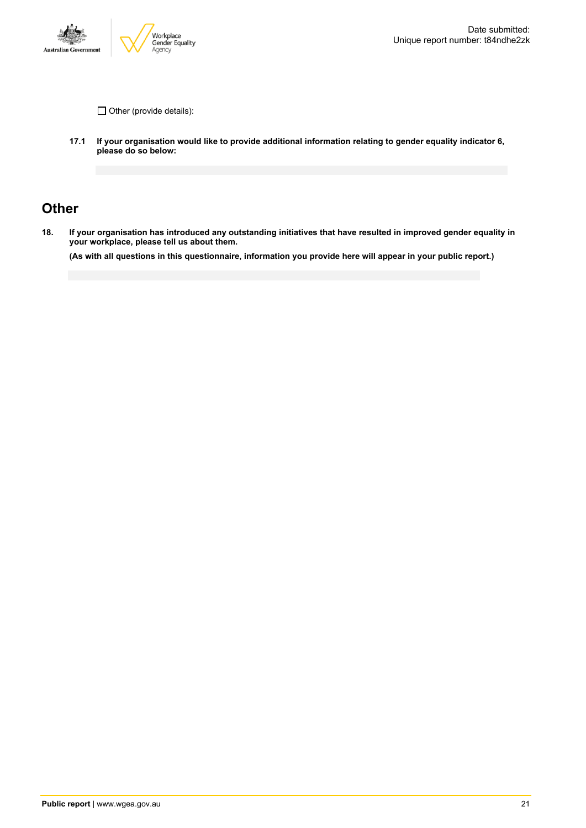

 $\Box$  Other (provide details):

**17.1 If your organisation would like to provide additional information relating to gender equality indicator 6, please do so below:**

### **Other**

18. If your organisation has introduced any outstanding initiatives that have resulted in improved gender equality in **your workplace, please tell us about them.**

(As with all questions in this questionnaire, information you provide here will appear in your public report.)